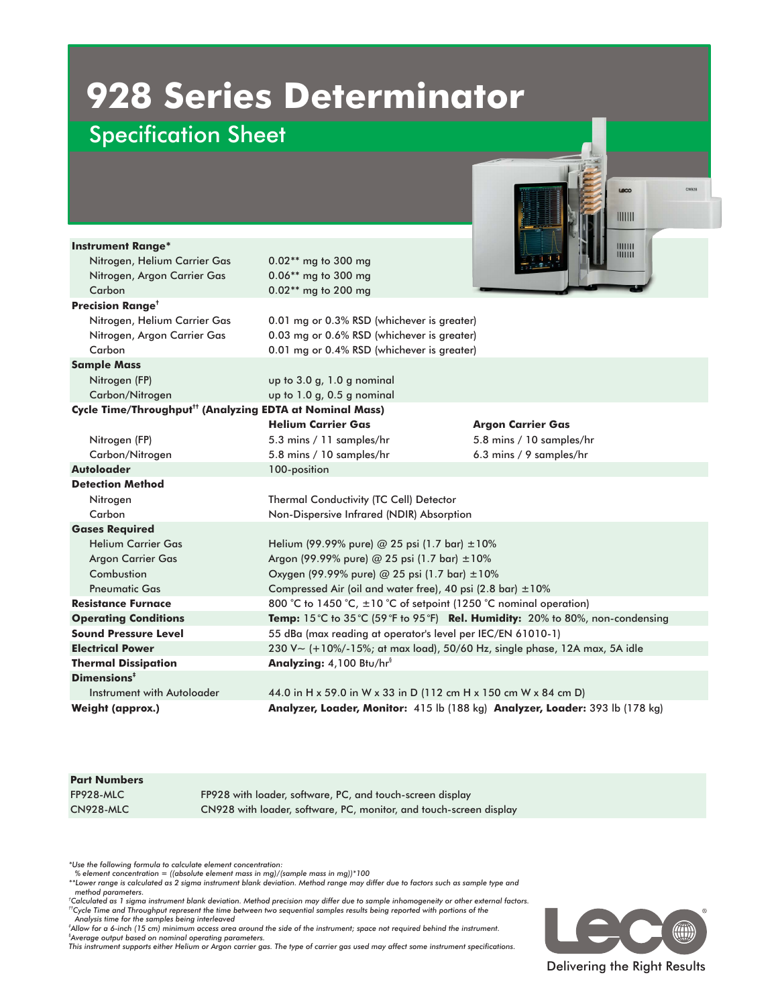## **928 Series Determinator**

## Specification Sheet

|                                                                      |                                                                              | CN928<br>Leco            |
|----------------------------------------------------------------------|------------------------------------------------------------------------------|--------------------------|
|                                                                      |                                                                              |                          |
|                                                                      |                                                                              | 1111111                  |
|                                                                      |                                                                              |                          |
| <b>Instrument Range*</b>                                             |                                                                              | 1111111<br>1111111       |
| Nitrogen, Helium Carrier Gas                                         | 0.02** mg to 300 mg                                                          |                          |
| Nitrogen, Argon Carrier Gas                                          | 0.06** mg to 300 mg                                                          |                          |
| Carbon                                                               | 0.02** mg to 200 mg                                                          |                          |
| <b>Precision Range<sup>t</sup></b>                                   |                                                                              |                          |
| Nitrogen, Helium Carrier Gas                                         | 0.01 mg or 0.3% RSD (whichever is greater)                                   |                          |
| Nitrogen, Argon Carrier Gas                                          | 0.03 mg or 0.6% RSD (whichever is greater)                                   |                          |
| Carbon                                                               | 0.01 mg or 0.4% RSD (whichever is greater)                                   |                          |
| <b>Sample Mass</b>                                                   |                                                                              |                          |
| Nitrogen (FP)                                                        | up to 3.0 g, 1.0 g nominal                                                   |                          |
| Carbon/Nitrogen                                                      | up to 1.0 g, 0.5 g nominal                                                   |                          |
| Cycle Time/Throughput <sup>tt</sup> (Analyzing EDTA at Nominal Mass) |                                                                              |                          |
|                                                                      | <b>Helium Carrier Gas</b>                                                    | <b>Argon Carrier Gas</b> |
| Nitrogen (FP)                                                        | 5.3 mins / 11 samples/hr                                                     | 5.8 mins / 10 samples/hr |
| Carbon/Nitrogen                                                      | 5.8 mins / 10 samples/hr                                                     | 6.3 mins / 9 samples/hr  |
| <b>Autoloader</b>                                                    | 100-position                                                                 |                          |
| <b>Detection Method</b>                                              |                                                                              |                          |
| Nitrogen                                                             | Thermal Conductivity (TC Cell) Detector                                      |                          |
| Carbon                                                               | Non-Dispersive Infrared (NDIR) Absorption                                    |                          |
| <b>Gases Required</b>                                                |                                                                              |                          |
| Helium Carrier Gas                                                   | Helium (99.99% pure) @ 25 psi (1.7 bar) $\pm 10\%$                           |                          |
| <b>Argon Carrier Gas</b>                                             | Argon (99.99% pure) @ 25 psi (1.7 bar) ±10%                                  |                          |
| Combustion                                                           | Oxygen (99.99% pure) @ 25 psi (1.7 bar) $\pm 10\%$                           |                          |
| <b>Pneumatic Gas</b>                                                 | Compressed Air (oil and water free), 40 psi (2.8 bar) $\pm 10\%$             |                          |
| <b>Resistance Furnace</b>                                            | 800 °C to 1450 °C, $\pm 10$ °C of setpoint (1250 °C nominal operation)       |                          |
| <b>Operating Conditions</b>                                          | Temp: 15°C to 35°C (59°F to 95°F) Rel. Humidity: 20% to 80%, non-condensing  |                          |
| <b>Sound Pressure Level</b>                                          | 55 dBa (max reading at operator's level per IEC/EN 61010-1)                  |                          |
| <b>Electrical Power</b>                                              | 230 V~ (+10%/-15%; at max load), 50/60 Hz, single phase, 12A max, 5A idle    |                          |
| <b>Thermal Dissipation</b>                                           | Analyzing: 4,100 Btu/hr <sup>§</sup>                                         |                          |
| Dimensions <sup>#</sup>                                              |                                                                              |                          |
| Instrument with Autoloader                                           | 44.0 in H x 59.0 in W x 33 in D (112 cm H x 150 cm W x 84 cm D)              |                          |
| <b>Weight (approx.)</b>                                              | Analyzer, Loader, Monitor: 415 lb (188 kg) Analyzer, Loader: 393 lb (178 kg) |                          |

| <b>Part Numbers</b> |                                                                    |
|---------------------|--------------------------------------------------------------------|
| FP928-MLC           | FP928 with loader, software, PC, and touch-screen display          |
| CN928-MLC           | CN928 with loader, software, PC, monitor, and touch-screen display |
|                     |                                                                    |

*\*Use the following formula to calculate element concentration:*

*‡ Allow for a 6-inch (15 cm) minimum access area around the side of the instrument; space not required behind the instrument.*

*§ Average output based on nominal operating parameters. This instrument supports either Helium or Argon carrier gas. The type of carrier gas used may affect some instrument specifications.*



<sup>%</sup> element concentration = ((absolute element mass in mg)/(sample mass in mg))\*100<br>\*\*Lower range is calculated as 2 sigma instrument blank deviation. Method range may differ due to factors such as sample type and *method parameters.*

<sup>&</sup>lt;sup>†</sup>Calculated as 1 sigma instrument blank deviation. Method precision may differ due to sample inhomogeneity or other external factors.<br><sup>††</sup>Cycle Time and Throughput represent the time between two sequential samples result *Analysis time for the samples being interleaved*